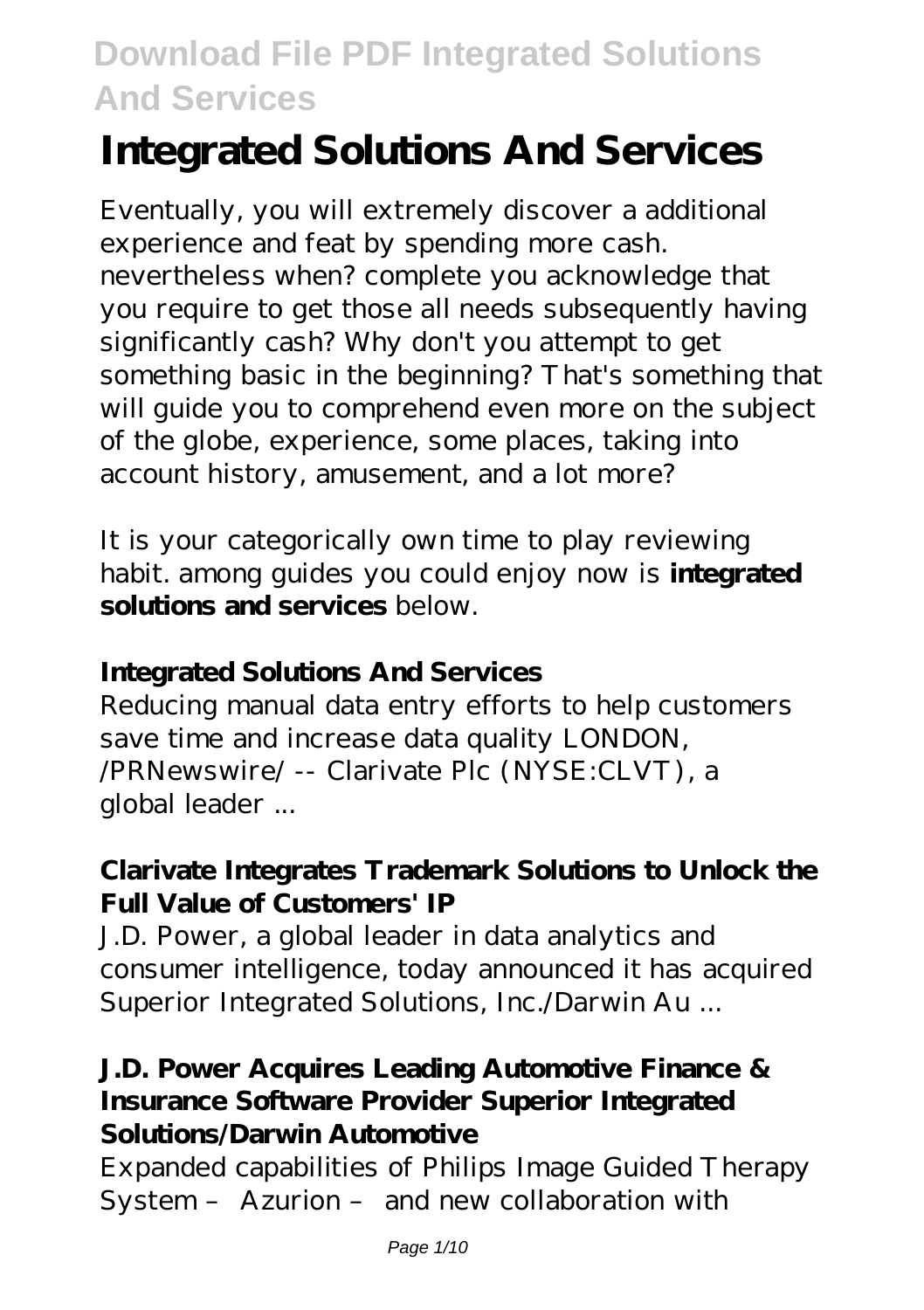# **Integrated Solutions And Services**

Eventually, you will extremely discover a additional experience and feat by spending more cash. nevertheless when? complete you acknowledge that you require to get those all needs subsequently having significantly cash? Why don't you attempt to get something basic in the beginning? That's something that will guide you to comprehend even more on the subject of the globe, experience, some places, taking into account history, amusement, and a lot more?

It is your categorically own time to play reviewing habit. among guides you could enjoy now is **integrated solutions and services** below.

#### **Integrated Solutions And Services**

Reducing manual data entry efforts to help customers save time and increase data quality LONDON, /PRNewswire/ -- Clarivate Plc (NYSE:CLVT), a global leader ...

### **Clarivate Integrates Trademark Solutions to Unlock the Full Value of Customers' IP**

J.D. Power, a global leader in data analytics and consumer intelligence, today announced it has acquired Superior Integrated Solutions, Inc./Darwin Au ...

### **J.D. Power Acquires Leading Automotive Finance & Insurance Software Provider Superior Integrated Solutions/Darwin Automotive**

Expanded capabilities of Philips Image Guided Therapy System – Azurion – and new collaboration with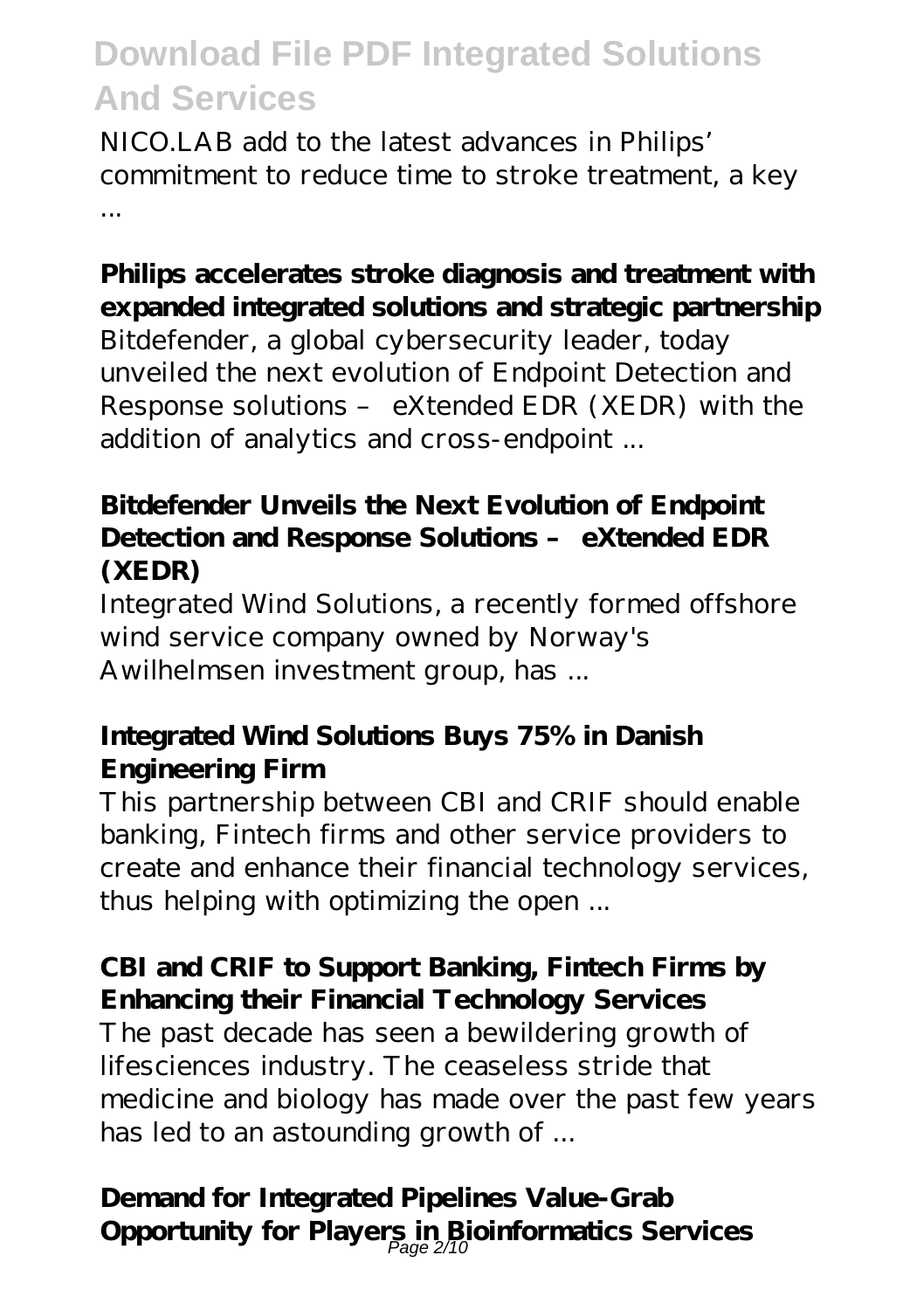NICO.LAB add to the latest advances in Philips' commitment to reduce time to stroke treatment, a key ...

# **Philips accelerates stroke diagnosis and treatment with expanded integrated solutions and strategic partnership**

Bitdefender, a global cybersecurity leader, today unveiled the next evolution of Endpoint Detection and Response solutions – eXtended EDR (XEDR) with the addition of analytics and cross-endpoint ...

### **Bitdefender Unveils the Next Evolution of Endpoint Detection and Response Solutions – eXtended EDR (XEDR)**

Integrated Wind Solutions, a recently formed offshore wind service company owned by Norway's Awilhelmsen investment group, has ...

## **Integrated Wind Solutions Buys 75% in Danish Engineering Firm**

This partnership between CBI and CRIF should enable banking, Fintech firms and other service providers to create and enhance their financial technology services, thus helping with optimizing the open ...

## **CBI and CRIF to Support Banking, Fintech Firms by Enhancing their Financial Technology Services**

The past decade has seen a bewildering growth of lifesciences industry. The ceaseless stride that medicine and biology has made over the past few years has led to an astounding growth of ...

# **Demand for Integrated Pipelines Value-Grab** Opportunity for Players in Bioinformatics Services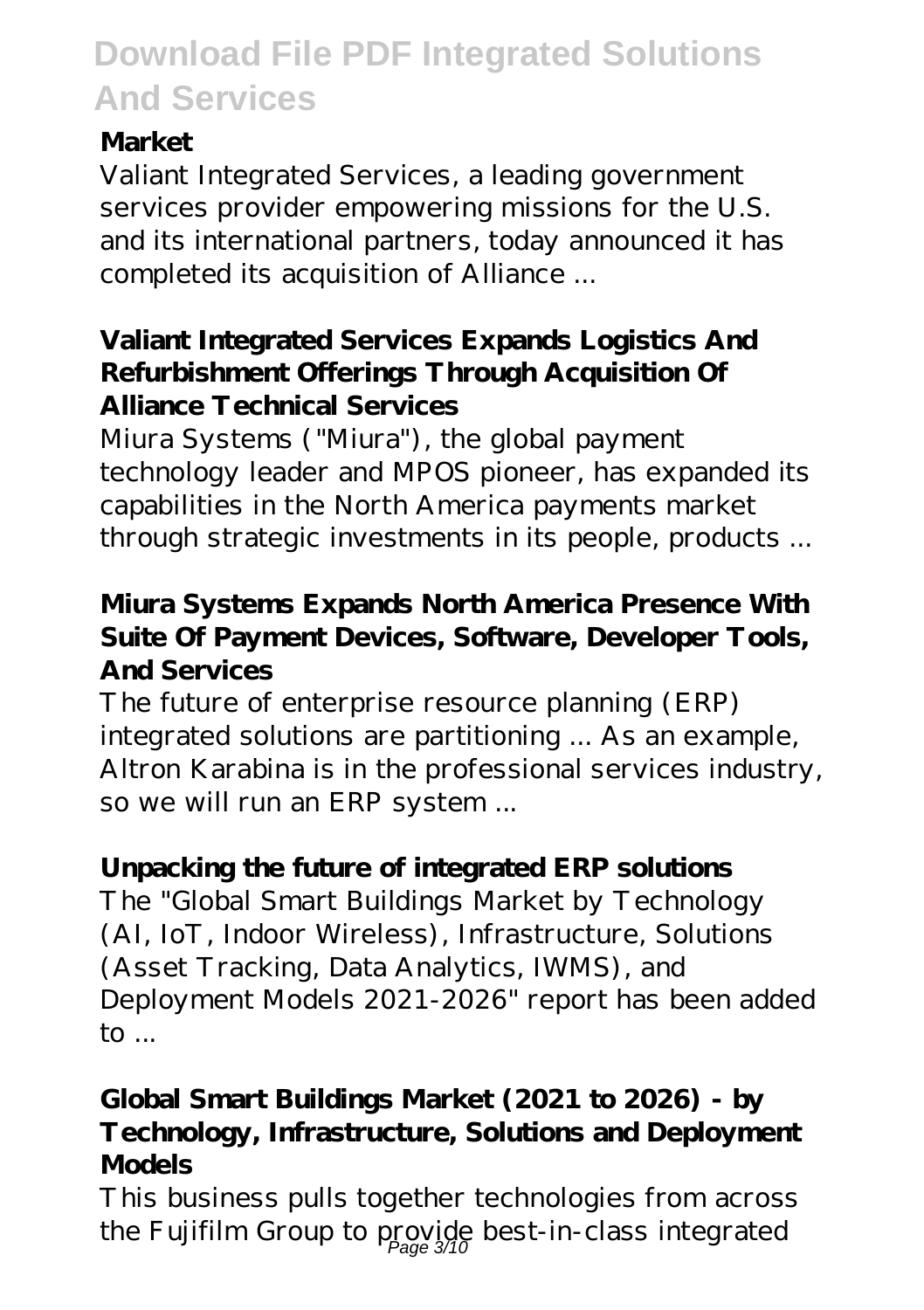### **Market**

Valiant Integrated Services, a leading government services provider empowering missions for the U.S. and its international partners, today announced it has completed its acquisition of Alliance ...

### **Valiant Integrated Services Expands Logistics And Refurbishment Offerings Through Acquisition Of Alliance Technical Services**

Miura Systems ("Miura"), the global payment technology leader and MPOS pioneer, has expanded its capabilities in the North America payments market through strategic investments in its people, products ...

### **Miura Systems Expands North America Presence With Suite Of Payment Devices, Software, Developer Tools, And Services**

The future of enterprise resource planning (ERP) integrated solutions are partitioning ... As an example, Altron Karabina is in the professional services industry, so we will run an ERP system ...

## **Unpacking the future of integrated ERP solutions**

The "Global Smart Buildings Market by Technology (AI, IoT, Indoor Wireless), Infrastructure, Solutions (Asset Tracking, Data Analytics, IWMS), and Deployment Models 2021-2026" report has been added to ...

## **Global Smart Buildings Market (2021 to 2026) - by Technology, Infrastructure, Solutions and Deployment Models**

This business pulls together technologies from across the Fujifilm Group to provide best-in-class integrated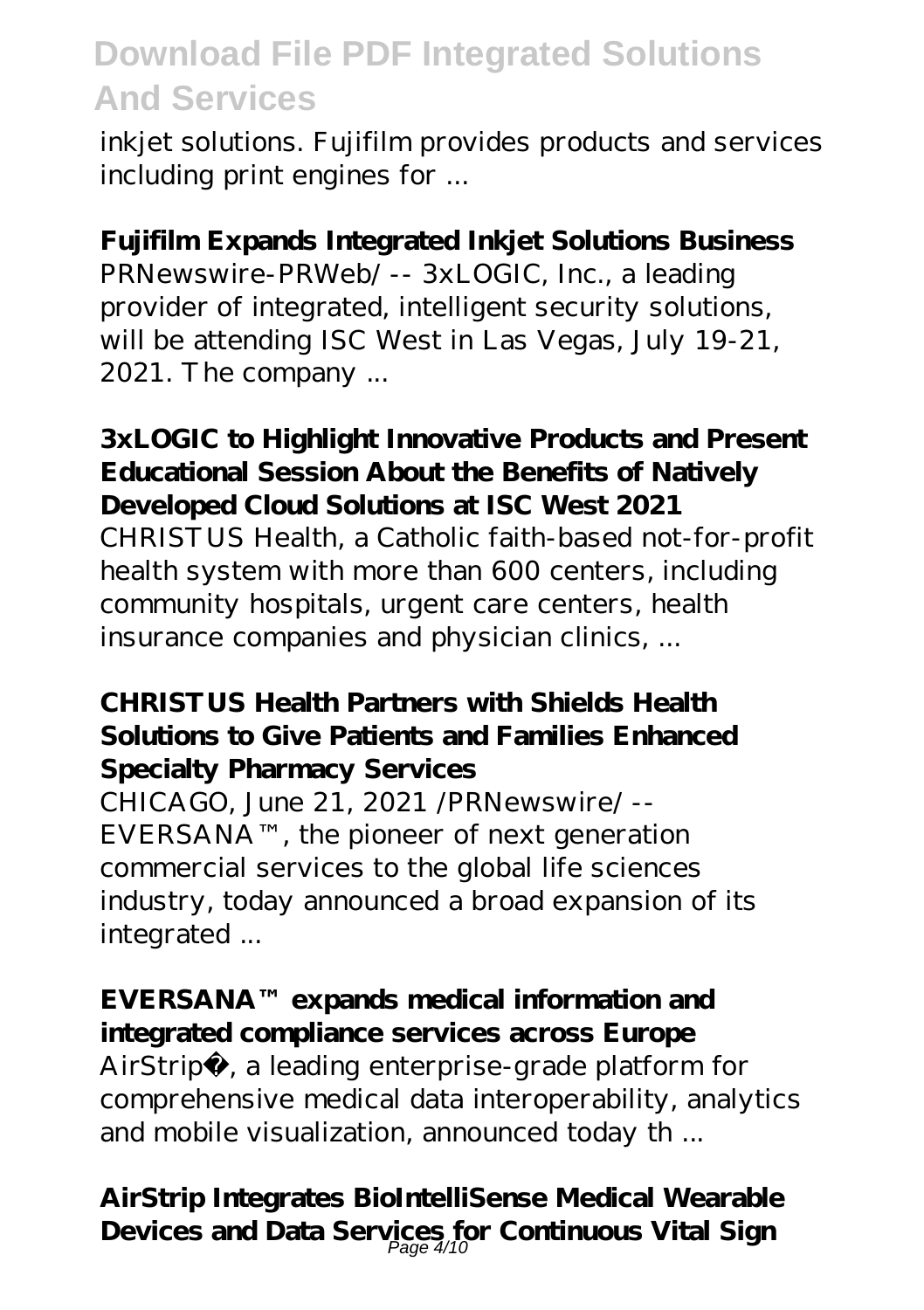inkjet solutions. Fujifilm provides products and services including print engines for ...

### **Fujifilm Expands Integrated Inkjet Solutions Business**

PRNewswire-PRWeb/ -- 3xLOGIC, Inc., a leading provider of integrated, intelligent security solutions, will be attending ISC West in Las Vegas, July 19-21, 2021. The company ...

#### **3xLOGIC to Highlight Innovative Products and Present Educational Session About the Benefits of Natively Developed Cloud Solutions at ISC West 2021**

CHRISTUS Health, a Catholic faith-based not-for-profit health system with more than 600 centers, including community hospitals, urgent care centers, health insurance companies and physician clinics, ...

#### **CHRISTUS Health Partners with Shields Health Solutions to Give Patients and Families Enhanced Specialty Pharmacy Services**

CHICAGO, June 21, 2021 /PRNewswire/ -- EVERSANA™, the pioneer of next generation commercial services to the global life sciences industry, today announced a broad expansion of its integrated ...

### **EVERSANA™ expands medical information and integrated compliance services across Europe**

AirStrip®, a leading enterprise-grade platform for comprehensive medical data interoperability, analytics and mobile visualization, announced today th ...

**AirStrip Integrates BioIntelliSense Medical Wearable Devices and Data Services for Continuous Vital Sign** Page 4/10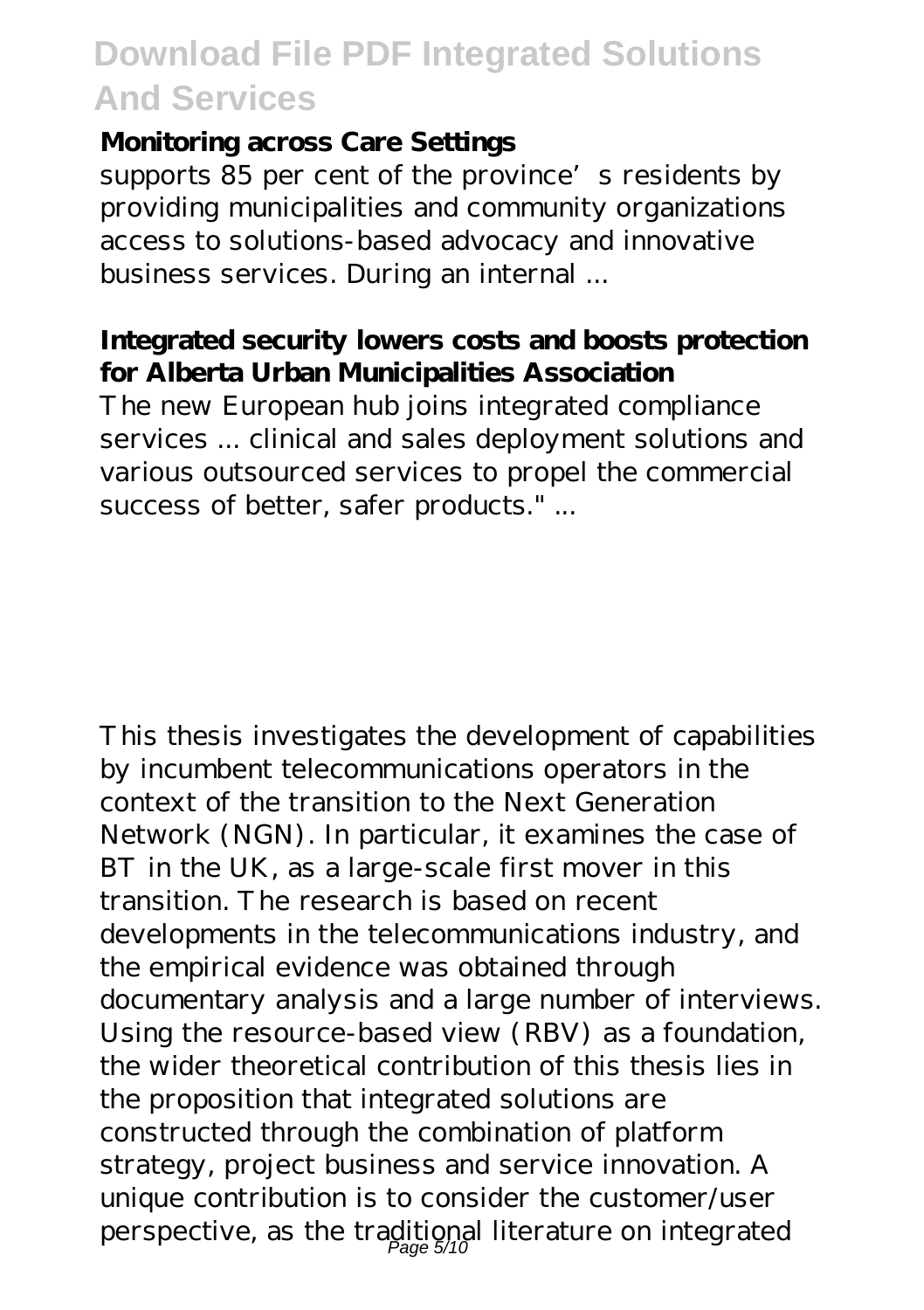#### **Monitoring across Care Settings**

supports 85 per cent of the province's residents by providing municipalities and community organizations access to solutions-based advocacy and innovative business services. During an internal ...

#### **Integrated security lowers costs and boosts protection for Alberta Urban Municipalities Association**

The new European hub joins integrated compliance services ... clinical and sales deployment solutions and various outsourced services to propel the commercial success of better, safer products." ...

This thesis investigates the development of capabilities by incumbent telecommunications operators in the context of the transition to the Next Generation Network (NGN). In particular, it examines the case of BT in the UK, as a large-scale first mover in this transition. The research is based on recent developments in the telecommunications industry, and the empirical evidence was obtained through documentary analysis and a large number of interviews. Using the resource-based view (RBV) as a foundation, the wider theoretical contribution of this thesis lies in the proposition that integrated solutions are constructed through the combination of platform strategy, project business and service innovation. A unique contribution is to consider the customer/user perspective, as the traditional literature on integrated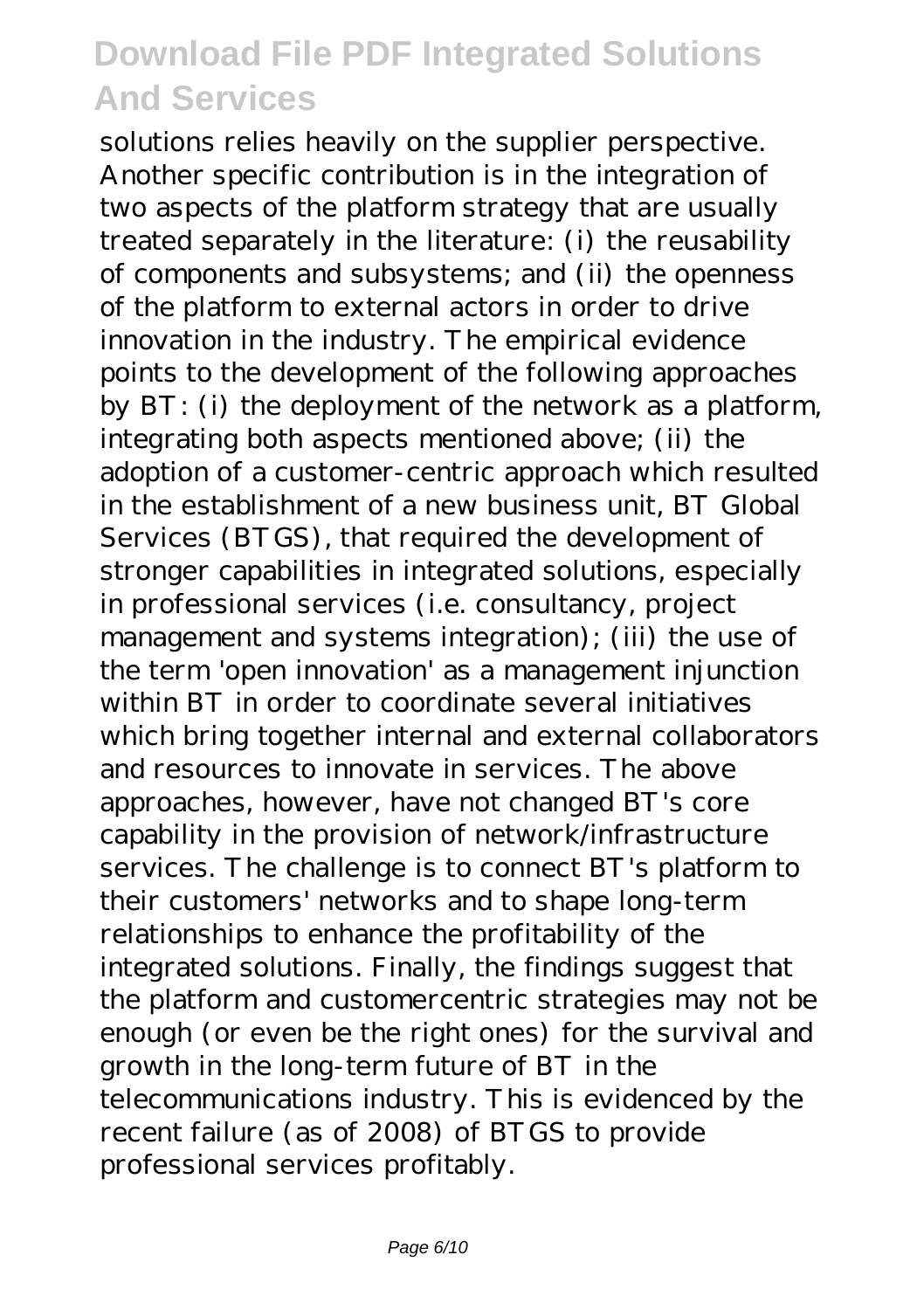solutions relies heavily on the supplier perspective. Another specific contribution is in the integration of two aspects of the platform strategy that are usually treated separately in the literature: (i) the reusability of components and subsystems; and (ii) the openness of the platform to external actors in order to drive innovation in the industry. The empirical evidence points to the development of the following approaches by BT: (i) the deployment of the network as a platform, integrating both aspects mentioned above; (ii) the adoption of a customer-centric approach which resulted in the establishment of a new business unit, BT Global Services (BTGS), that required the development of stronger capabilities in integrated solutions, especially in professional services (i.e. consultancy, project management and systems integration); (iii) the use of the term 'open innovation' as a management injunction within BT in order to coordinate several initiatives which bring together internal and external collaborators and resources to innovate in services. The above approaches, however, have not changed BT's core capability in the provision of network/infrastructure services. The challenge is to connect BT's platform to their customers' networks and to shape long-term relationships to enhance the profitability of the integrated solutions. Finally, the findings suggest that the platform and customercentric strategies may not be enough (or even be the right ones) for the survival and growth in the long-term future of BT in the telecommunications industry. This is evidenced by the recent failure (as of 2008) of BTGS to provide professional services profitably.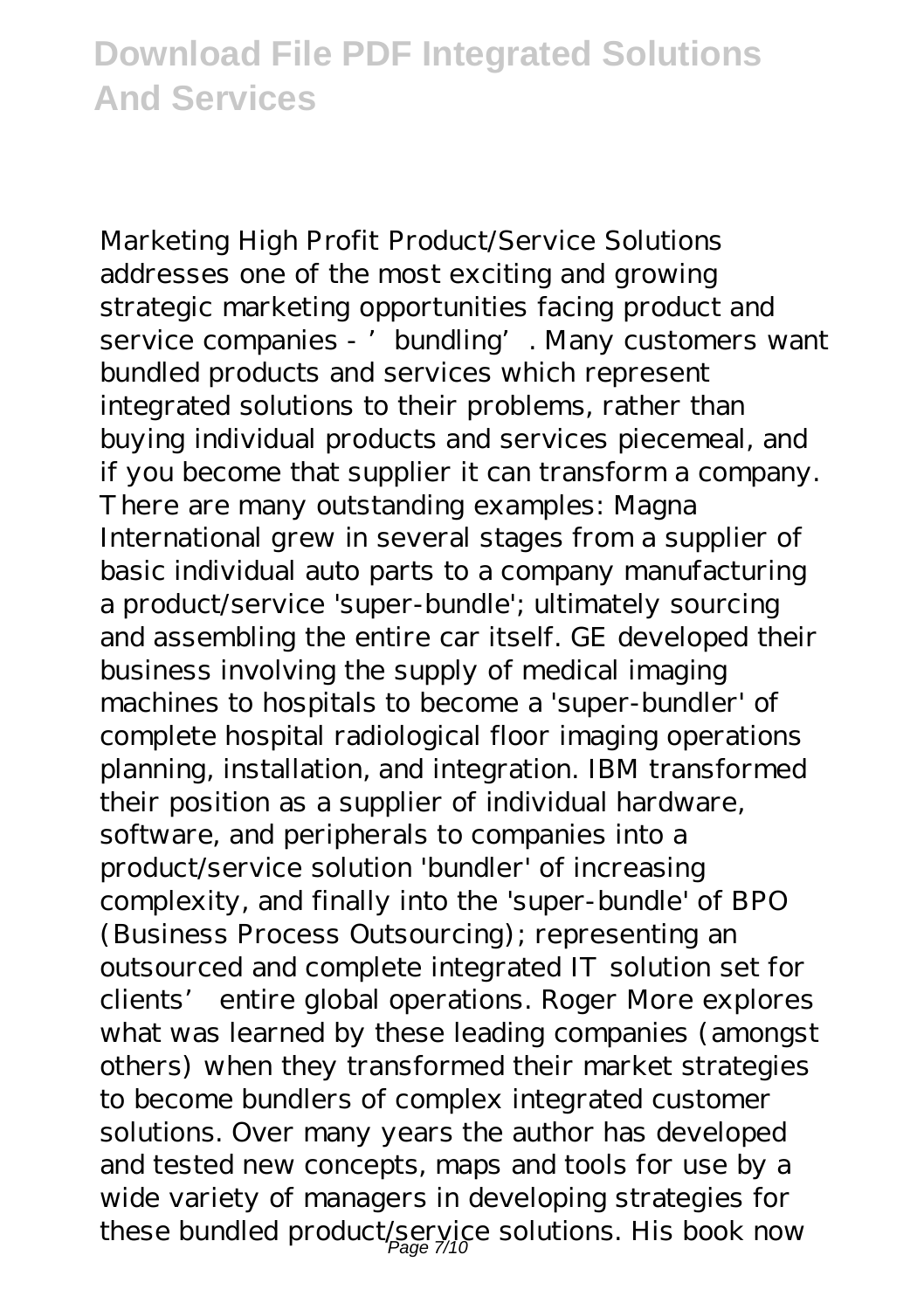Marketing High Profit Product/Service Solutions addresses one of the most exciting and growing strategic marketing opportunities facing product and service companies - ' bundling'. Many customers want bundled products and services which represent integrated solutions to their problems, rather than buying individual products and services piecemeal, and if you become that supplier it can transform a company. There are many outstanding examples: Magna International grew in several stages from a supplier of basic individual auto parts to a company manufacturing a product/service 'super-bundle'; ultimately sourcing and assembling the entire car itself. GE developed their business involving the supply of medical imaging machines to hospitals to become a 'super-bundler' of complete hospital radiological floor imaging operations planning, installation, and integration. IBM transformed their position as a supplier of individual hardware, software, and peripherals to companies into a product/service solution 'bundler' of increasing complexity, and finally into the 'super-bundle' of BPO (Business Process Outsourcing); representing an outsourced and complete integrated IT solution set for clients' entire global operations. Roger More explores what was learned by these leading companies (amongst others) when they transformed their market strategies to become bundlers of complex integrated customer solutions. Over many years the author has developed and tested new concepts, maps and tools for use by a wide variety of managers in developing strategies for these bundled product/service solutions. His book now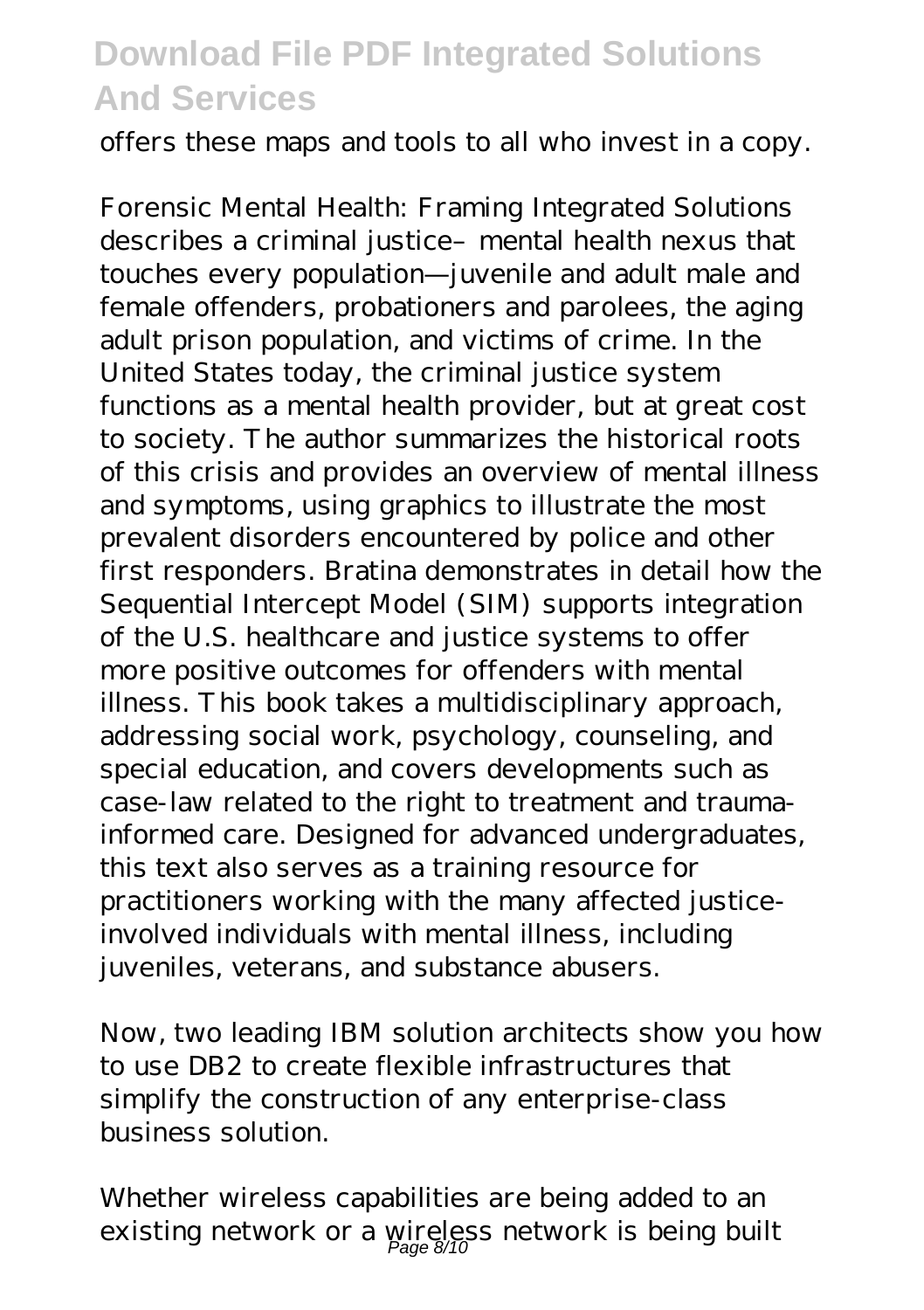offers these maps and tools to all who invest in a copy.

Forensic Mental Health: Framing Integrated Solutions describes a criminal justice- mental health nexus that touches every population—juvenile and adult male and female offenders, probationers and parolees, the aging adult prison population, and victims of crime. In the United States today, the criminal justice system functions as a mental health provider, but at great cost to society. The author summarizes the historical roots of this crisis and provides an overview of mental illness and symptoms, using graphics to illustrate the most prevalent disorders encountered by police and other first responders. Bratina demonstrates in detail how the Sequential Intercept Model (SIM) supports integration of the U.S. healthcare and justice systems to offer more positive outcomes for offenders with mental illness. This book takes a multidisciplinary approach, addressing social work, psychology, counseling, and special education, and covers developments such as case-law related to the right to treatment and traumainformed care. Designed for advanced undergraduates, this text also serves as a training resource for practitioners working with the many affected justiceinvolved individuals with mental illness, including juveniles, veterans, and substance abusers.

Now, two leading IBM solution architects show you how to use DB2 to create flexible infrastructures that simplify the construction of any enterprise-class business solution.

Whether wireless capabilities are being added to an existing network or a wireless network is being built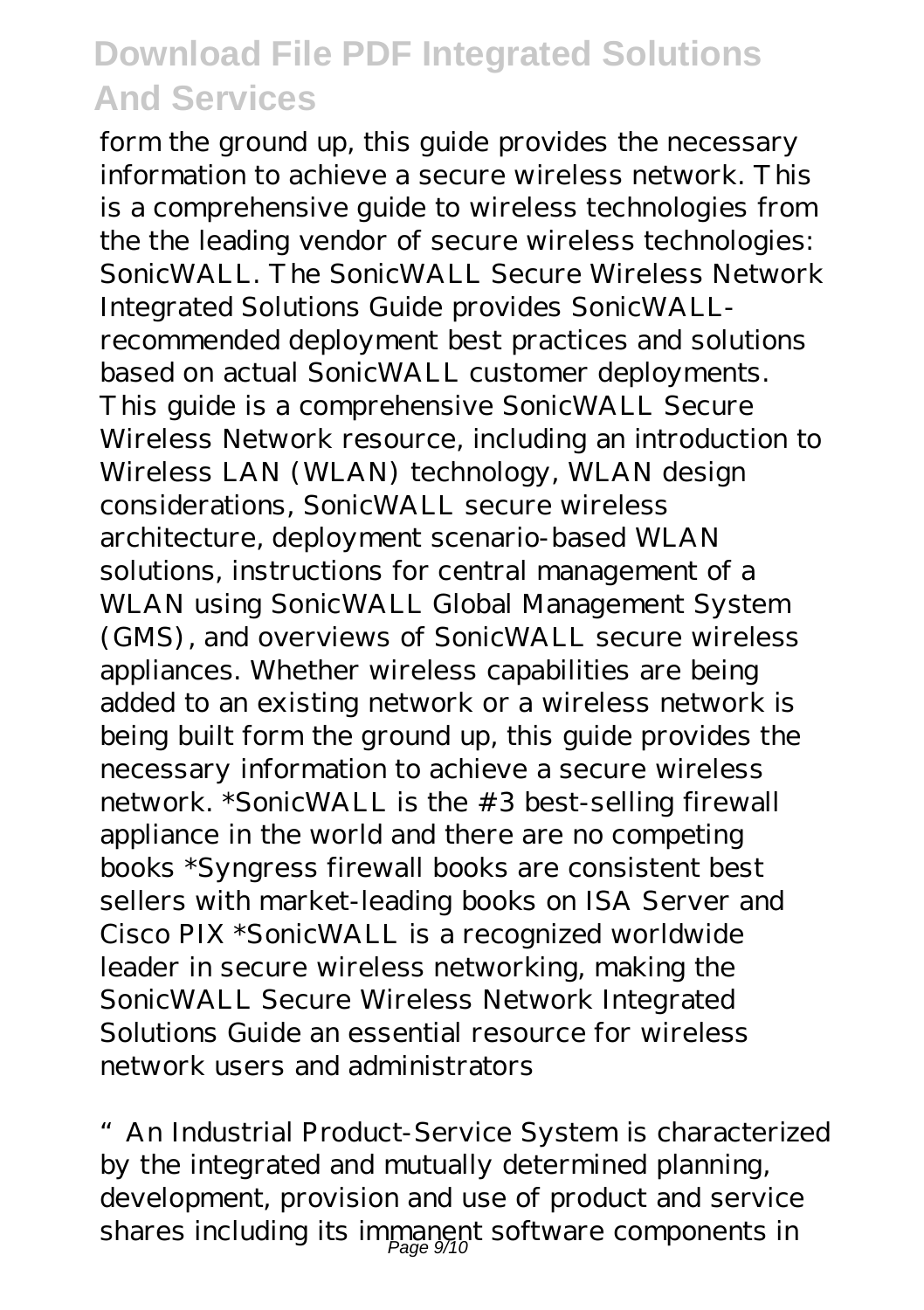form the ground up, this guide provides the necessary information to achieve a secure wireless network. This is a comprehensive guide to wireless technologies from the the leading vendor of secure wireless technologies: SonicWALL. The SonicWALL Secure Wireless Network Integrated Solutions Guide provides SonicWALLrecommended deployment best practices and solutions based on actual SonicWALL customer deployments. This guide is a comprehensive SonicWALL Secure Wireless Network resource, including an introduction to Wireless LAN (WLAN) technology, WLAN design considerations, SonicWALL secure wireless architecture, deployment scenario-based WLAN solutions, instructions for central management of a WLAN using SonicWALL Global Management System (GMS), and overviews of SonicWALL secure wireless appliances. Whether wireless capabilities are being added to an existing network or a wireless network is being built form the ground up, this guide provides the necessary information to achieve a secure wireless network. \*SonicWALL is the #3 best-selling firewall appliance in the world and there are no competing books \*Syngress firewall books are consistent best sellers with market-leading books on ISA Server and Cisco PIX \*SonicWALL is a recognized worldwide leader in secure wireless networking, making the SonicWALL Secure Wireless Network Integrated Solutions Guide an essential resource for wireless network users and administrators

"An Industrial Product-Service System is characterized by the integrated and mutually determined planning, development, provision and use of product and service shares including its immanent software components in